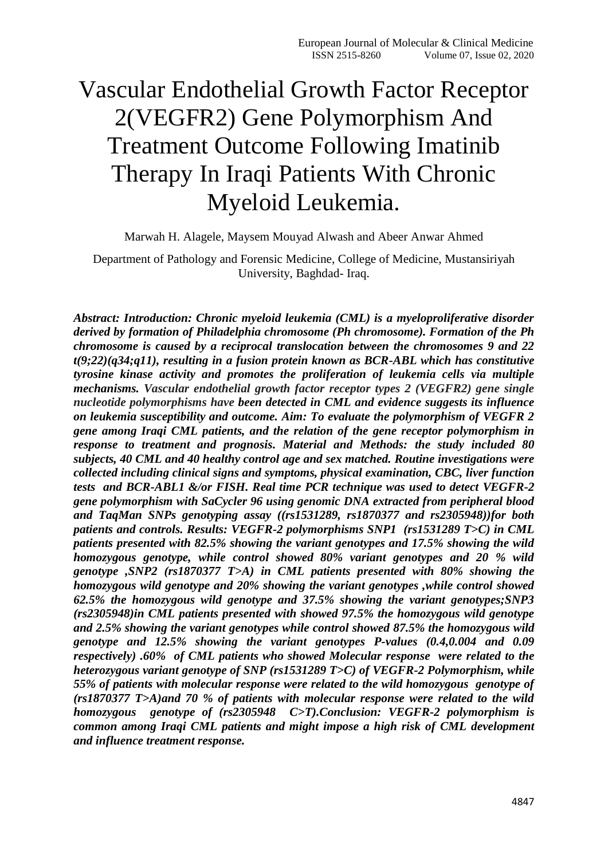# Vascular Endothelial Growth Factor Receptor 2(VEGFR2) Gene Polymorphism And Treatment Outcome Following Imatinib Therapy In Iraqi Patients With Chronic Myeloid Leukemia.

Marwah H. Alagele, Maysem Mouyad Alwash and Abeer Anwar Ahmed

Department of Pathology and Forensic Medicine, College of Medicine, Mustansiriyah University, Baghdad- Iraq.

*Abstract: Introduction: Chronic myeloid leukemia (CML) is a myeloproliferative disorder derived by formation of Philadelphia chromosome (Ph chromosome). Formation of the Ph chromosome is caused by a reciprocal translocation between the chromosomes 9 and 22 t(9;22)(q34;q11), resulting in a fusion protein known as BCR-ABL which has constitutive tyrosine kinase activity and promotes the proliferation of leukemia cells via multiple mechanisms. Vascular endothelial growth factor receptor types 2 (VEGFR2) gene single nucleotide polymorphisms have been detected in CML and evidence suggests its influence on leukemia susceptibility and outcome. Aim: To evaluate the polymorphism of VEGFR 2 gene among Iraqi CML patients, and the relation of the gene receptor polymorphism in response to treatment and prognosis. Material and Methods: the study included 80 subjects, 40 CML and 40 healthy control age and sex matched. Routine investigations were collected including clinical signs and symptoms, physical examination, CBC, liver function tests and BCR-ABL1 &/or FISH. Real time PCR technique was used to detect VEGFR-2 gene polymorphism with SaCycler 96 using genomic DNA extracted from peripheral blood and TaqMan SNPs genotyping assay ((rs1531289, rs1870377 and rs2305948))for both patients and controls. Results: VEGFR-2 polymorphisms SNP1 (rs1531289 T>C) in CML patients presented with 82.5% showing the variant genotypes and 17.5% showing the wild homozygous genotype, while control showed 80% variant genotypes and 20 % wild genotype ,SNP2 (rs1870377 T>A) in CML patients presented with 80% showing the homozygous wild genotype and 20% showing the variant genotypes ,while control showed 62.5% the homozygous wild genotype and 37.5% showing the variant genotypes;SNP3 (rs2305948)in CML patients presented with showed 97.5% the homozygous wild genotype and 2.5% showing the variant genotypes while control showed 87.5% the homozygous wild genotype and 12.5% showing the variant genotypes P-values (0.4,0.004 and 0.09 respectively) .60% of CML patients who showed Molecular response were related to the heterozygous variant genotype of SNP (rs1531289 T>C) of VEGFR-2 Polymorphism, while 55% of patients with molecular response were related to the wild homozygous genotype of (rs1870377 T>A)and 70 % of patients with molecular response were related to the wild homozygous genotype of (rs2305948 C>T).Conclusion: VEGFR-2 polymorphism is common among Iraqi CML patients and might impose a high risk of CML development and influence treatment response.*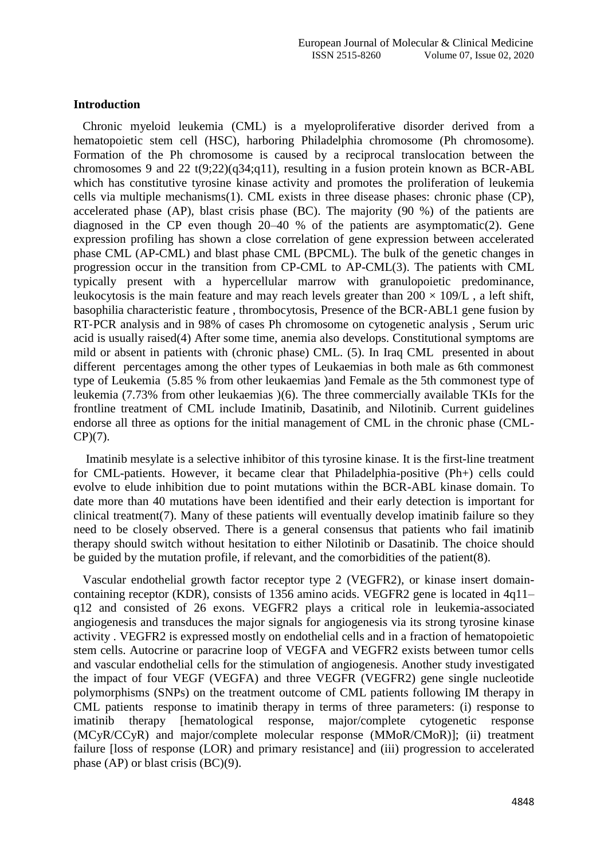#### **Introduction**

 Chronic myeloid leukemia (CML) is a myeloproliferative disorder derived from a hematopoietic stem cell (HSC), harboring Philadelphia chromosome (Ph chromosome). Formation of the Ph chromosome is caused by a reciprocal translocation between the chromosomes 9 and 22 t(9:22)( $q34;q11$ ), resulting in a fusion protein known as BCR-ABL which has constitutive tyrosine kinase activity and promotes the proliferation of leukemia cells via multiple mechanisms(1). CML exists in three disease phases: chronic phase (CP), accelerated phase (AP), blast crisis phase (BC). The majority (90 %) of the patients are diagnosed in the CP even though 20–40 % of the patients are asymptomatic(2). Gene expression profiling has shown a close correlation of gene expression between accelerated phase CML (AP-CML) and blast phase CML (BPCML). The bulk of the genetic changes in progression occur in the transition from CP-CML to AP-CML(3). The patients with CML typically present with a hypercellular marrow with granulopoietic predominance, leukocytosis is the main feature and may reach levels greater than  $200 \times 109$ /L, a left shift, basophilia characteristic feature , thrombocytosis, Presence of the BCR‐ABL1 gene fusion by RT‐PCR analysis and in 98% of cases Ph chromosome on cytogenetic analysis , Serum uric acid is usually raised(4) After some time, anemia also develops. Constitutional symptoms are mild or absent in patients with (chronic phase) CML. (5). In Iraq CML presented in about different percentages among the other types of Leukaemias in both male as 6th commonest type of Leukemia (5.85 % from other leukaemias )and Female as the 5th commonest type of leukemia (7.73% from other leukaemias )(6). The three commercially available TKIs for the frontline treatment of CML include Imatinib, Dasatinib, and Nilotinib. Current guidelines endorse all three as options for the initial management of CML in the chronic phase (CML-CP)(7).

 Imatinib mesylate is a selective inhibitor of this tyrosine kinase. It is the first-line treatment for CML-patients. However, it became clear that Philadelphia-positive (Ph+) cells could evolve to elude inhibition due to point mutations within the BCR-ABL kinase domain. To date more than 40 mutations have been identified and their early detection is important for clinical treatment(7). Many of these patients will eventually develop imatinib failure so they need to be closely observed. There is a general consensus that patients who fail imatinib therapy should switch without hesitation to either Nilotinib or Dasatinib. The choice should be guided by the mutation profile, if relevant, and the comorbidities of the patient(8).

 Vascular endothelial growth factor receptor type 2 (VEGFR2), or kinase insert domaincontaining receptor (KDR), consists of 1356 amino acids. VEGFR2 gene is located in 4q11– q12 and consisted of 26 exons. VEGFR2 plays a critical role in leukemia-associated angiogenesis and transduces the major signals for angiogenesis via its strong tyrosine kinase activity . VEGFR2 is expressed mostly on endothelial cells and in a fraction of hematopoietic stem cells. Autocrine or paracrine loop of VEGFA and VEGFR2 exists between tumor cells and vascular endothelial cells for the stimulation of angiogenesis. Another study investigated the impact of four VEGF (VEGFA) and three VEGFR (VEGFR2) gene single nucleotide polymorphisms (SNPs) on the treatment outcome of CML patients following IM therapy in CML patients response to imatinib therapy in terms of three parameters: (i) response to imatinib therapy [hematological response, major/complete cytogenetic response (MCyR/CCyR) and major/complete molecular response (MMoR/CMoR)]; (ii) treatment failure [loss of response (LOR) and primary resistance] and (iii) progression to accelerated phase (AP) or blast crisis (BC)(9).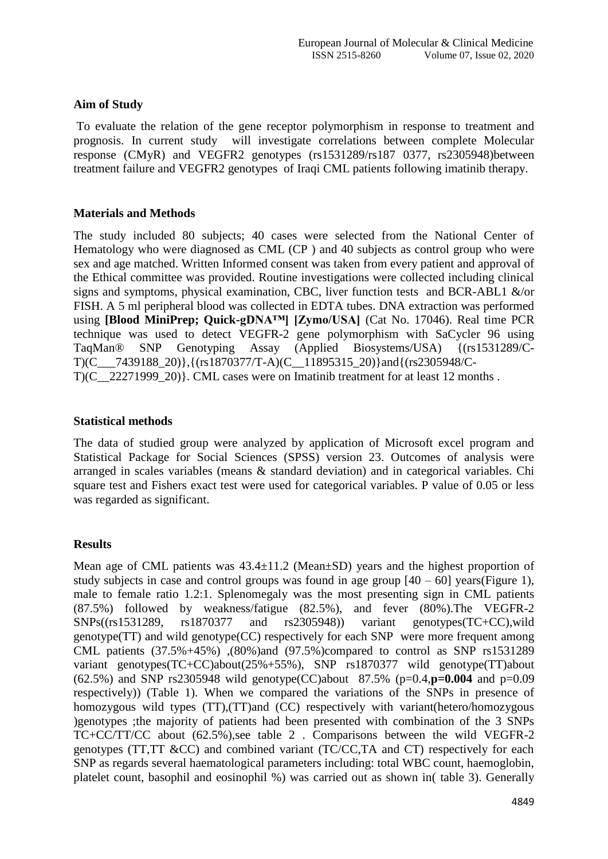# **Aim of Study**

To evaluate the relation of the gene receptor polymorphism in response to treatment and prognosis. In current study will investigate correlations between complete Molecular response (CMyR) and VEGFR2 genotypes (rs1531289/rs187 0377, rs2305948)between treatment failure and VEGFR2 genotypes of Iraqi CML patients following imatinib therapy.

#### **Materials and Methods**

The study included 80 subjects; 40 cases were selected from the National Center of Hematology who were diagnosed as CML (CP ) and 40 subjects as control group who were sex and age matched. Written Informed consent was taken from every patient and approval of the Ethical committee was provided. Routine investigations were collected including clinical signs and symptoms, physical examination, CBC, liver function tests and BCR-ABL1 &/or FISH. A 5 ml peripheral blood was collected in EDTA tubes. DNA extraction was performed using **[Blood MiniPrep; Quick-gDNA™] [Zymo/USA]** (Cat No. 17046). Real time PCR technique was used to detect VEGFR-2 gene polymorphism with SaCycler 96 using TaqMan® SNP Genotyping Assay (Applied Biosystems/USA) {(rs1531289/C-T)(C\_\_\_7439188\_20)},{(rs1870377/T-A)(C\_\_11895315\_20)}and{(rs2305948/C- $T(C_22271999_20)$ . CML cases were on Imatinib treatment for at least 12 months .

## **Statistical methods**

The data of studied group were analyzed by application of Microsoft excel program and Statistical Package for Social Sciences (SPSS) version 23. Outcomes of analysis were arranged in scales variables (means & standard deviation) and in categorical variables. Chi square test and Fishers exact test were used for categorical variables. P value of 0.05 or less was regarded as significant.

# **Results**

Mean age of CML patients was  $43.4 \pm 11.2$  (Mean $\pm$ SD) years and the highest proportion of study subjects in case and control groups was found in age group  $[40 - 60]$  years(Figure 1), male to female ratio 1.2:1. Splenomegaly was the most presenting sign in CML patients (87.5%) followed by weakness/fatigue (82.5%), and fever (80%).The VEGFR-2 SNPs((rs1531289, rs1870377 and rs2305948)) variant genotypes(TC+CC),wild genotype(TT) and wild genotype(CC) respectively for each SNP were more frequent among CML patients (37.5%+45%) ,(80%)and (97.5%)compared to control as SNP rs1531289 variant genotypes(TC+CC)about(25%+55%), SNP rs1870377 wild genotype(TT)about (62.5%) and SNP rs2305948 wild genotype(CC)about 87.5% (p=0.4,**p=0.004** and p=0.09 respectively)) (Table 1). When we compared the variations of the SNPs in presence of homozygous wild types (TT), (TT) and (CC) respectively with variant (hetero/homozygous )genotypes ;the majority of patients had been presented with combination of the 3 SNPs TC+CC/TT/CC about (62.5%),see table 2 . Comparisons between the wild VEGFR-2 genotypes (TT,TT &CC) and combined variant (TC/CC,TA and CT) respectively for each SNP as regards several haematological parameters including: total WBC count, haemoglobin, platelet count, basophil and eosinophil %) was carried out as shown in( table 3). Generally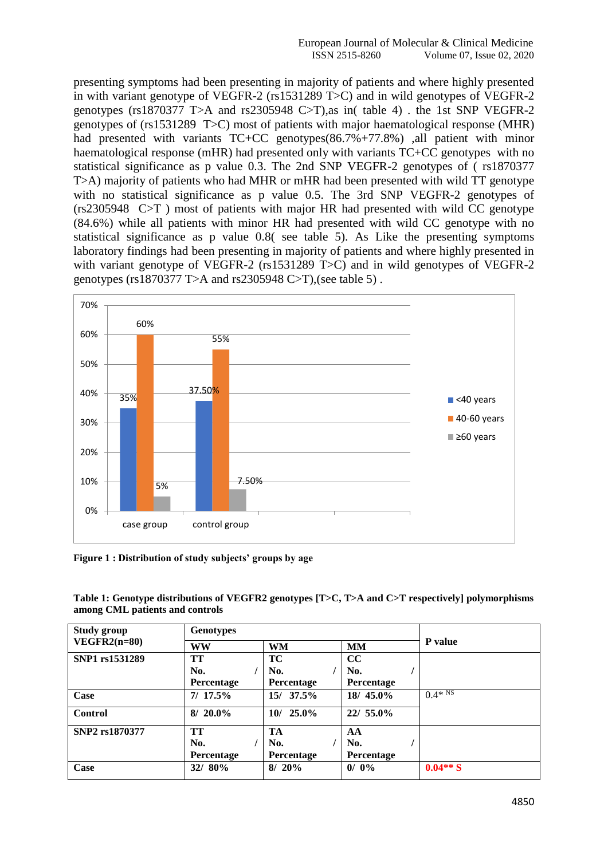presenting symptoms had been presenting in majority of patients and where highly presented in with variant genotype of VEGFR-2 (rs1531289 T>C) and in wild genotypes of VEGFR-2 genotypes (rs1870377 T>A and rs2305948 C>T),as in( table 4) . the 1st SNP VEGFR-2 genotypes of (rs1531289 T>C) most of patients with major haematological response (MHR) had presented with variants TC+CC genotypes(86.7%+77.8%) ,all patient with minor haematological response (mHR) had presented only with variants  $TC+CC$  genotypes with no statistical significance as p value 0.3. The 2nd SNP VEGFR-2 genotypes of ( rs1870377 T>A) majority of patients who had MHR or mHR had been presented with wild TT genotype with no statistical significance as p value 0.5. The 3rd SNP VEGFR-2 genotypes of (rs2305948 C>T ) most of patients with major HR had presented with wild CC genotype (84.6%) while all patients with minor HR had presented with wild CC genotype with no statistical significance as p value 0.8( see table 5). As Like the presenting symptoms laboratory findings had been presenting in majority of patients and where highly presented in with variant genotype of VEGFR-2 (rs1531289 T>C) and in wild genotypes of VEGFR-2 genotypes (rs1870377 T>A and rs2305948 C>T),(see table 5) .



**Figure 1 : Distribution of study subjects' groups by age**

**Table 1: Genotype distributions of VEGFR2 genotypes [T>C, T>A and C>T respectively] polymorphisms among CML patients and controls**

| <b>Study group</b> | <b>Genotypes</b>  |             |                   |                      |  |
|--------------------|-------------------|-------------|-------------------|----------------------|--|
| $VEGFR2(n=80)$     | <b>WW</b>         | <b>WM</b>   | <b>MM</b>         | <b>P</b> value       |  |
| SNP1 rs1531289     | TT                | <b>TC</b>   | cc                |                      |  |
|                    | No.               | No.         | No.               |                      |  |
|                    | <b>Percentage</b> | Percentage  | <b>Percentage</b> |                      |  |
| Case               | 7/17.5%           | $15/37.5\%$ | 18/45.0%          | $0.4*$ <sup>NS</sup> |  |
| <b>Control</b>     | $8/20.0\%$        | $10/25.0\%$ | 22/ 55.0%         |                      |  |
| SNP2 rs1870377     | TT                | TA          | AA                |                      |  |
|                    | No.               | No.         | No.               |                      |  |
|                    | <b>Percentage</b> | Percentage  | <b>Percentage</b> |                      |  |
| Case               | 32/80%            | $8/20\%$    | $0/0\%$           | $0.04**S$            |  |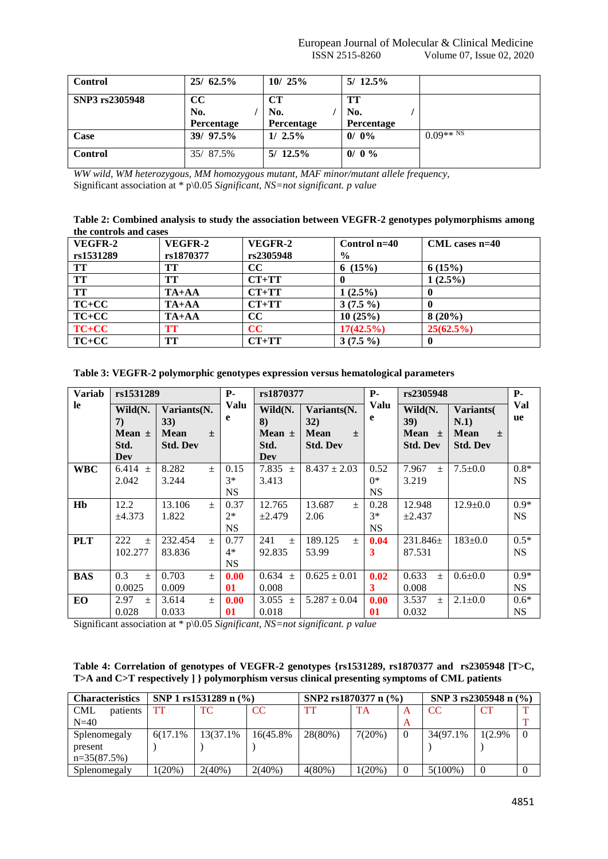| <b>Control</b> | $25/62.5\%$                   | 10/25%                         | $5/12.5\%$              |                                 |
|----------------|-------------------------------|--------------------------------|-------------------------|---------------------------------|
| SNP3 rs2305948 | $\bf CC$<br>No.<br>Percentage | <b>CT</b><br>No.<br>Percentage | TT<br>No.<br>Percentage |                                 |
| Case           | 39/ 97.5%                     | $1/2.5\%$                      | $0/0\%$                 | $0.09**^{\overline{\text{NS}}}$ |
| <b>Control</b> | 35/87.5%                      | $5/12.5\%$                     | 0/0 %                   |                                 |

*WW wild, WM heterozygous, MM homozygous mutant, MAF minor/mutant allele frequency,*  Significant association at \* p\0.05 *Significant, NS=not significant. p value* 

| Table 2: Combined analysis to study the association between VEGFR-2 genotypes polymorphisms among |  |
|---------------------------------------------------------------------------------------------------|--|
| the controls and cases                                                                            |  |

| VEGFR-2   | VEGFR-2   | VEGFR-2   | Control $n=40$ | $CML$ cases $n=40$ |
|-----------|-----------|-----------|----------------|--------------------|
| rs1531289 | rs1870377 | rs2305948 | $\frac{6}{6}$  |                    |
| TT        | TТ        | $\bf CC$  | 6 $(15%)$      | 6(15%)             |
| <b>TT</b> | TT        | $CT+TT$   |                | $1(2.5\%)$         |
| <b>TT</b> | $TA+AA$   | $CT+TT$   | $1(2.5\%)$     |                    |
| $TC+CC$   | $TA+AA$   | $CT+TT$   | $3(7.5\%)$     |                    |
| $TC+CC$   | $TA+AA$   | $\bf CC$  | 10(25%)        | $8(20\%)$          |
| $TC+CC$   | TТ        | cc        | $17(42.5\%)$   | 25(62.5%)          |
| $TC+CC$   | TT        | $CT+TT$   | $3(7.5\%)$     |                    |

| Table 5. VEGT K-2 porymorphic genotypes expression versus nematological parameters |                                            |                                                      |       |                           |                                            |                                                               |                            |                                                         |                                                           |                     |  |  |
|------------------------------------------------------------------------------------|--------------------------------------------|------------------------------------------------------|-------|---------------------------|--------------------------------------------|---------------------------------------------------------------|----------------------------|---------------------------------------------------------|-----------------------------------------------------------|---------------------|--|--|
| <b>Variab</b>                                                                      | rs1531289                                  |                                                      |       | <b>P</b> -                | rs1870377                                  |                                                               | <b>P</b> -                 | rs2305948                                               |                                                           | <b>P</b> -          |  |  |
| le.                                                                                | Wild(N.<br>7)<br>Mean $\pm$<br>Std.<br>Dev | Variants(N.<br>33)<br><b>Mean</b><br><b>Std. Dev</b> | $\pm$ | Valu<br>e                 | Wild(N.<br>8)<br>Mean $\pm$<br>Std.<br>Dev | Variants(N.<br>32)<br><b>Mean</b><br>$\pm$<br><b>Std. Dev</b> | Valu<br>e                  | Wild(N.<br><b>39</b> )<br>Mean $\pm$<br><b>Std. Dev</b> | Variants<br>N.1)<br><b>Mean</b><br>$+$<br><b>Std. Dev</b> | Val<br>ue           |  |  |
| <b>WBC</b>                                                                         | 6.414 $\pm$<br>2.042                       | 8.282<br>3.244                                       | $\pm$ | 0.15<br>$3*$<br><b>NS</b> | 7.835 $\pm$<br>3.413                       | $8.437 \pm 2.03$                                              | 0.52<br>$0^*$<br><b>NS</b> | 7.967<br>$\pm$<br>3.219                                 | $7.5 \pm 0.0$                                             | $0.8*$<br><b>NS</b> |  |  |
| Hb                                                                                 | 12.2<br>±4.373                             | 13.106<br>1.822                                      | $+$   | 0.37<br>$2*$<br><b>NS</b> | 12.765<br>$\pm 2.479$                      | 13.687<br>$+$<br>2.06                                         | 0.28<br>$3*$<br><b>NS</b>  | 12.948<br>$\pm 2.437$                                   | $12.9 \pm 0.0$                                            | $0.9*$<br><b>NS</b> |  |  |
| <b>PLT</b>                                                                         | 222<br>$\pm$<br>102.277                    | 232.454<br>83.836                                    | $+$   | 0.77<br>$4*$<br><b>NS</b> | 241<br>$+$<br>92.835                       | 189.125<br>$\pm$<br>53.99                                     | 0.04                       | $231.846 \pm$<br>87.531                                 | $183 \pm 0.0$                                             | $0.5*$<br><b>NS</b> |  |  |
| <b>BAS</b>                                                                         | 0.3<br>$\pm$<br>0.0025                     | 0.703<br>0.009                                       | $+$   | 0.00<br>01                | $0.634 \pm$<br>0.008                       | $0.625 \pm 0.01$                                              | 0.02<br>3                  | 0.633<br>$\pm$<br>0.008                                 | $0.6{\pm}0.0$                                             | $0.9*$<br><b>NS</b> |  |  |
| EO                                                                                 | 2.97<br>$+$                                | 3.614                                                | $\pm$ | 0.00                      | 3.055 $\pm$                                | $5.287 \pm 0.04$                                              | 0.00                       | 3.537<br>$+$                                            | $2.1 \pm 0.0$                                             | $0.6*$              |  |  |

**Table 3: VEGFR-2 polymorphic genotypes expression versus hematological parameters**

**01** Significant association at \* p\0.05 *Significant, NS=not significant. p value* 

0.028

0.033

|  | Table 4: Correlation of genotypes of VEGFR-2 genotypes {rs1531289, rs1870377 and rs2305948 [T>C, |  |  |  |  |
|--|--------------------------------------------------------------------------------------------------|--|--|--|--|
|  | T>A and C>T respectively ] } polymorphism versus clinical presenting symptoms of CML patients    |  |  |  |  |

**01**

0.032

0.018

| <b>Characteristics</b> |           | SNP 1 $rs1531289$ n $(\% )$ |           | SNP2 $rs1870377$ n $(\% )$ |           |   | SNP 3 $rs2305948$ n $(\% )$ |           |          |
|------------------------|-----------|-----------------------------|-----------|----------------------------|-----------|---|-----------------------------|-----------|----------|
| <b>CML</b><br>patients | TT        | TC.                         | CC        | TT                         | TA        |   | <sub>CC</sub>               | <b>CT</b> |          |
| $N=40$                 |           |                             |           |                            |           | A |                             |           |          |
| Splenomegaly           | 6(17.1%)  | 13(37.1%)                   | 16(45.8%  | 28(80%)                    | 7(20%)    |   | 34(97.1%)                   | 1(2.9%)   | $\Omega$ |
| present                |           |                             |           |                            |           |   |                             |           |          |
| $n=35(87.5%)$          |           |                             |           |                            |           |   |                             |           |          |
| Splenomegaly           | $1(20\%)$ | $2(40\%)$                   | $2(40\%)$ | $4(80\%)$                  | $1(20\%)$ |   | $5(100\%)$                  | $\theta$  |          |

NS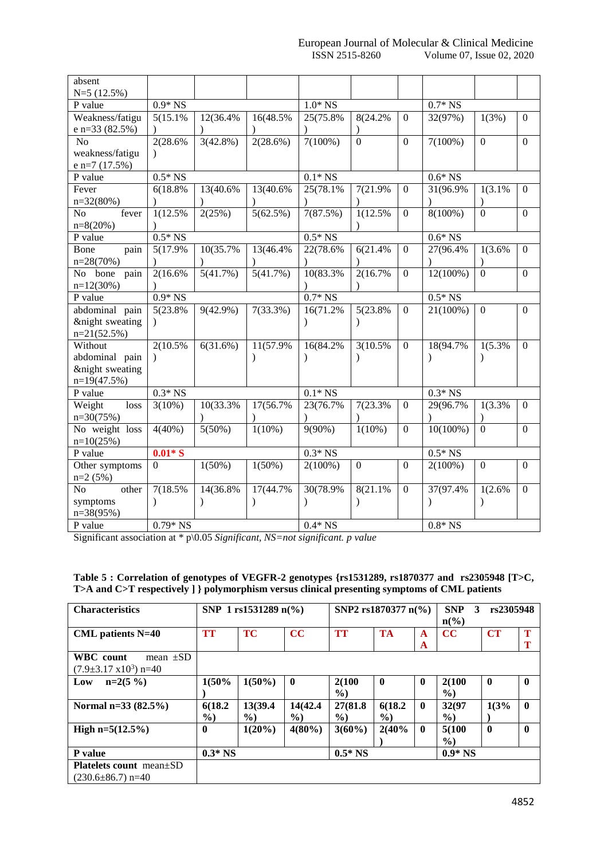| absent                  |                |             |               |            |                |                  |             |                |                  |
|-------------------------|----------------|-------------|---------------|------------|----------------|------------------|-------------|----------------|------------------|
| $N=5(12.5%)$            |                |             |               |            |                |                  |             |                |                  |
| P value                 | $0.9*$ NS      |             |               | $1.0*$ NS  |                |                  | $0.7*$ NS   |                |                  |
| Weakness/fatigu         | 5(15.1%)       | 12(36.4%    | 16(48.5%)     | 25(75.8%)  | 8(24.2%        | $\Omega$         | 32(97%)     | 1(3%)          | $\boldsymbol{0}$ |
| e n=33 (82.5%)          |                |             |               |            |                |                  |             |                |                  |
| N <sub>o</sub>          | 2(28.6%        | $3(42.8\%)$ | $2(28.6\%)$   | $7(100\%)$ | $\overline{0}$ | $\mathbf{0}$     | $7(100\%)$  | $\mathbf{0}$   | $\boldsymbol{0}$ |
| weakness/fatigu         | $\lambda$      |             |               |            |                |                  |             |                |                  |
| e n=7 (17.5%)           |                |             |               |            |                |                  |             |                |                  |
| P value                 | $0.5*$ NS      |             |               | $0.1*$ NS  |                |                  | $0.6*$ NS   |                |                  |
| Fever                   | 6(18.8%        | 13(40.6%    | 13(40.6%)     | 25(78.1%)  | 7(21.9%        | $\theta$         | 31(96.9%)   | 1(3.1%         | $\boldsymbol{0}$ |
| $n=32(80%)$             |                |             |               |            |                |                  |             |                |                  |
| N <sub>o</sub><br>fever | 1(12.5%)       | 2(25%)      | 5(62.5%)      | 7(87.5%)   | 1(12.5%)       | $\theta$         | $8(100\%)$  | $\overline{0}$ | $\boldsymbol{0}$ |
| $n=8(20%)$              |                |             |               |            |                |                  |             |                |                  |
| P value                 | $0.5*$ NS      |             |               | $0.5*$ NS  |                | $0.6*$ NS        |             |                |                  |
| Bone<br>pain            | 5(17.9%)       | 10(35.7%    | 13(46.4%      | 22(78.6%   | 6(21.4%        | $\boldsymbol{0}$ | 27(96.4%    | 1(3.6%         | $\boldsymbol{0}$ |
| $n=28(70%)$             |                |             |               |            |                |                  |             |                |                  |
| bone<br>No<br>pain      | 2(16.6%        | 5(41.7%)    | 5(41.7%)      | 10(83.3%)  | 2(16.7%)       | $\mathbf{0}$     | $12(100\%)$ | $\overline{0}$ | $\mathbf{0}$     |
| $n=12(30%)$             |                |             |               |            |                |                  |             |                |                  |
| P value                 | $0.9*$ NS      |             |               | $0.7*$ NS  |                |                  | $0.5*$ NS   |                |                  |
| abdominal pain          | 5(23.8%)       | $9(42.9\%)$ | 7(33.3%)      | 16(71.2%   | 5(23.8%        | $\mathbf{0}$     | $21(100\%)$ | $\overline{0}$ | $\boldsymbol{0}$ |
| &night sweating         | $\lambda$      |             |               |            | $\mathcal{E}$  |                  |             |                |                  |
| $n=21(52.5%)$           |                |             |               |            |                |                  |             |                |                  |
| Without                 | 2(10.5%)       | 6(31.6%)    | 11(57.9%)     | 16(84.2%   | 3(10.5%)       | $\Omega$         | 18(94.7%    | 1(5.3%         | $\mathbf{0}$     |
| abdominal pain          |                |             | $\lambda$     |            |                |                  |             |                |                  |
| &night sweating         |                |             |               |            |                |                  |             |                |                  |
| $n=19(47.5%)$           |                |             |               |            |                |                  |             |                |                  |
| P value                 | $0.3*$ NS      |             |               | $0.1*$ NS  |                | $0.3*$ NS        |             |                |                  |
| Weight<br>loss          | $3(10\%)$      | 10(33.3%    | 17(56.7%)     | 23(76.7%)  | 7(23.3%        | $\boldsymbol{0}$ | 29(96.7%)   | 1(3.3%         | $\boldsymbol{0}$ |
| $n=30(75%)$             |                |             | $\lambda$     |            |                |                  |             |                |                  |
| No weight loss          | $4(40\%)$      | 5(50%)      | $1(10\%)$     | $9(90\%)$  | $1(10\%)$      | $\mathbf{0}$     | $10(100\%)$ | $\mathbf{0}$   | $\boldsymbol{0}$ |
| $n=10(25%)$             |                |             |               |            |                |                  |             |                |                  |
| P value                 | $0.01*S$       |             |               | $0.3*$ NS  |                |                  | $0.5*$ NS   |                |                  |
| Other symptoms          | $\overline{0}$ | $1(50\%)$   | $1(50\%)$     | $2(100\%)$ | $\mathbf{0}$   | $\overline{0}$   | $2(100\%)$  | $\mathbf{0}$   | $\boldsymbol{0}$ |
| $n=2(5%)$               |                |             |               |            |                |                  |             |                |                  |
| No<br>other             | 7(18.5%)       | 14(36.8%    | 17(44.7%)     | 30(78.9%)  | 8(21.1%        | $\mathbf{0}$     | 37(97.4%)   | 1(2.6%         | $\boldsymbol{0}$ |
| symptoms                | $\lambda$      |             | $\mathcal{E}$ | $\lambda$  | $\mathcal{E}$  |                  | $\lambda$   | $\lambda$      |                  |
| $n=38(95%)$             |                |             |               |            |                |                  |             |                |                  |
| P value                 | $0.79*$ NS     |             |               | $0.4*$ NS  |                |                  | $0.8*$ NS   |                |                  |

Significant association at \* p\0.05 *Significant, NS=not significant. p value* 

| Table 5: Correlation of genotypes of VEGFR-2 genotypes {rs1531289, rs1870377 and rs2305948 [T>C, |  |
|--------------------------------------------------------------------------------------------------|--|
| T>A and C>T respectively ] } polymorphism versus clinical presenting symptoms of CML patients    |  |

| <b>Characteristics</b>                                               | SNP 1 $rs1531289 n\%$    |                          |                           |                           | SNP2 rs1870377 n(%) |              | <b>SNP</b><br>3<br>$n\binom{0}{0}$ | rs2305948    |              |
|----------------------------------------------------------------------|--------------------------|--------------------------|---------------------------|---------------------------|---------------------|--------------|------------------------------------|--------------|--------------|
| <b>CML</b> patients N=40                                             | TT                       | <b>TC</b>                | CC                        | <b>TT</b>                 | <b>TA</b>           | A<br>A       | cc                                 | <b>CT</b>    | Т            |
| <b>WBC</b> count<br>mean $\pm SD$<br>$(7.9\pm3.17 \times 10^3)$ n=40 |                          |                          |                           |                           |                     |              |                                    |              |              |
| $n=2(5\%)$<br>Low                                                    | 1(50%                    | $1(50\%)$                | $\mathbf 0$               | 2(100<br>$\%$             | $\mathbf{0}$        | $\mathbf{0}$ | 2(100<br>$\frac{9}{0}$             | $\mathbf{0}$ | $\mathbf{0}$ |
| Normal $n=33(82.5%)$                                                 | 6(18.2)<br>$\frac{6}{2}$ | 13(39.4<br>$\frac{6}{2}$ | 14(42.4)<br>$\frac{6}{2}$ | 27(81.8)<br>$\frac{9}{0}$ | 6(18.2)<br>$\%$     | $\mathbf{0}$ | 32(97<br>$\frac{6}{2}$             | 1(3%         | $\mathbf{0}$ |
| High $n=5(12.5\%)$                                                   | $\mathbf{0}$             | $1(20\%)$                | $4(80\%)$                 | $3(60\%)$                 | 2(40%               | $\mathbf{0}$ | 5(100)<br>$\%$                     | $\mathbf{0}$ | 0            |
| <b>P</b> value                                                       | $0.3*$ NS                |                          |                           | $0.5*$ NS                 |                     |              | $0.9*$ NS                          |              |              |
| <b>Platelets count</b> mean $\pm$ SD<br>$(230.6 \pm 86.7)$ n=40      |                          |                          |                           |                           |                     |              |                                    |              |              |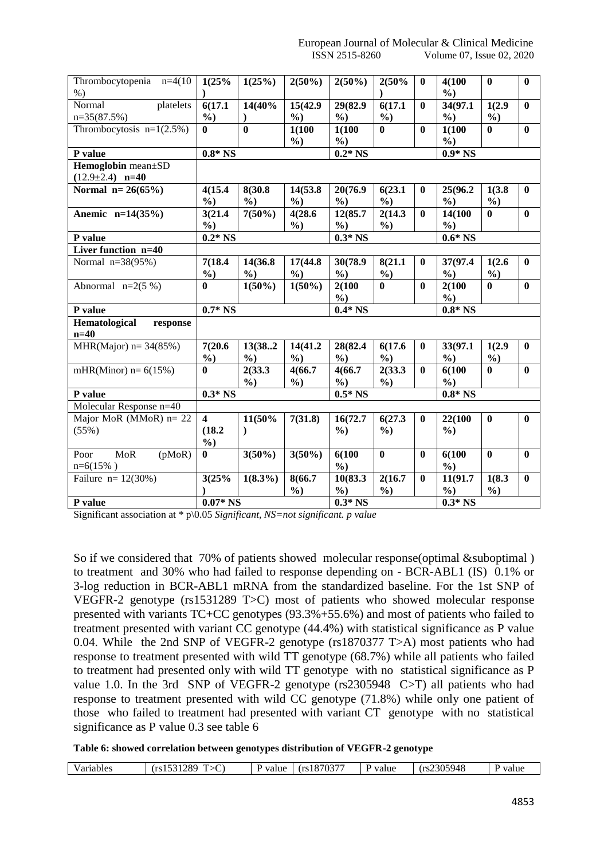| Thrombocytopenia n=4(10<br>$%$ ) | 1(25%                   | 1(25%)          | $2(50\%)$     | $2(50\%)$     | 2(50%         | $\bf{0}$     | 4(100<br>$\frac{6}{2}$ | $\bf{0}$      | $\mathbf{0}$ |  |
|----------------------------------|-------------------------|-----------------|---------------|---------------|---------------|--------------|------------------------|---------------|--------------|--|
| Normal<br>platelets              | 6(17.1)                 | 14(40%          | 15(42.9)      | 29(82.9)      | 6(17.1)       | $\mathbf{0}$ | 34(97.1                | 1(2.9)        | $\bf{0}$     |  |
| $n=35(87.5%)$                    | $\frac{6}{2}$           |                 | $\frac{0}{0}$ | $\frac{6}{2}$ | $\frac{6}{2}$ |              | $\frac{0}{0}$          | $\frac{6}{2}$ |              |  |
| Thrombocytosis $n=1(2.5\%)$      | $\mathbf{0}$            | $\mathbf{0}$    | 1(100)        | 1(100         | 0             | $\mathbf{0}$ | 1(100)                 | $\mathbf{0}$  | $\mathbf{0}$ |  |
|                                  |                         |                 | $\frac{6}{2}$ | $\frac{6}{2}$ |               |              | $\frac{0}{0}$          |               |              |  |
| P value                          | $0.8*$ NS               |                 |               | $0.2*$ NS     |               |              | $0.9*$ NS              |               |              |  |
| Hemoglobin mean±SD               |                         |                 |               |               |               |              |                        |               |              |  |
| $(12.9 \pm 2.4)$ n=40            |                         |                 |               |               |               |              |                        |               |              |  |
| Normal $n=26(65%)$               | 4(15.4)                 | 8(30.8)         | 14(53.8)      | 20(76.9       | 6(23.1)       | $\bf{0}$     | 25(96.2                | 1(3.8)        | $\mathbf{0}$ |  |
|                                  | $\frac{0}{0}$           | $\frac{0}{0}$   | $\frac{0}{0}$ | $\frac{0}{0}$ | $\frac{0}{0}$ |              | $\frac{0}{0}$          | $\frac{0}{0}$ |              |  |
| Anemic n=14(35%)                 | 3(21.4)                 | $7(50\%)$       | 4(28.6)       | 12(85.7)      | 2(14.3)       | $\bf{0}$     | 14(100                 | $\mathbf{0}$  | $\mathbf{0}$ |  |
|                                  | $\frac{6}{2}$           |                 | $\%$          | $\frac{6}{2}$ | $\%$ )        |              | $\frac{6}{2}$          |               |              |  |
| P value                          | $0.2*$ NS               |                 |               | $0.3*$ NS     |               |              | $0.6*$ NS              |               |              |  |
| Liver function n=40              |                         |                 |               |               |               |              |                        |               |              |  |
| Normal $n=38(95%)$               | 7(18.4)                 | 14(36.8)        | 17(44.8)      | 30(78.9)      | 8(21.1)       | $\bf{0}$     | 37(97.4                | 1(2.6)        | $\mathbf{0}$ |  |
|                                  | $\frac{0}{0}$           | $\frac{0}{0}$   | $\frac{0}{0}$ | $\frac{0}{0}$ | $\frac{6}{2}$ |              | $\frac{0}{0}$          | $\frac{6}{2}$ |              |  |
| Abnormal $n=2(5\%)$              | $\mathbf{0}$            | $1(50\sqrt{6})$ | $1(50\%)$     | 2(100)        | $\mathbf{0}$  | $\mathbf{0}$ | 2(100)                 | $\mathbf{0}$  | $\bf{0}$     |  |
|                                  |                         |                 |               | $\frac{6}{2}$ |               |              | $\frac{6}{9}$          |               |              |  |
| P value                          | $0.7*$ NS               |                 |               | $0.4*$ NS     |               |              | $0.8*$ NS              |               |              |  |
| Hematological<br>response        |                         |                 |               |               |               |              |                        |               |              |  |
| $n=40$                           |                         |                 |               |               |               |              |                        |               |              |  |
| MHR(Major) $n = 34(85%)$         | 7(20.6)                 | 13(382          | 14(41.2)      | 28(82.4       | 6(17.6)       | $\bf{0}$     | 33(97.1                | 1(2.9)        | $\mathbf{0}$ |  |
|                                  | $\frac{6}{2}$           | $\frac{6}{2}$   | $\frac{6}{2}$ | $\frac{6}{2}$ | $\%$          |              | $\frac{6}{2}$          | $\frac{0}{0}$ |              |  |
| mHR(Minor) $n=6(15%)$            | $\bf{0}$                | 2(33.3)         | 4(66.7)       | 4(66.7)       | 2(33.3)       | $\bf{0}$     | 6(100)                 | $\bf{0}$      | $\bf{0}$     |  |
|                                  |                         | $\frac{0}{0}$   | $\frac{6}{2}$ | $\frac{6}{9}$ | $\%$ )        |              | $\frac{6}{2}$          |               |              |  |
| P value                          | $0.3*$ NS               |                 |               | $0.5*$ NS     |               |              | $0.8*$ NS              |               |              |  |
| Molecular Response n=40          |                         |                 |               |               |               |              |                        |               |              |  |
| Major MoR $(MMOR)$ n= 22         | $\overline{\mathbf{4}}$ | 11(50%          | 7(31.8)       | 16(72.7       | 6(27.3)       | $\bf{0}$     | 22(100                 | $\bf{0}$      | $\bf{0}$     |  |
| (55%)                            | (18.2)                  | $\mathcal{E}$   |               | $\frac{6}{2}$ | $\frac{6}{2}$ |              | $\frac{6}{2}$          |               |              |  |
|                                  | $\%$                    |                 |               |               |               |              |                        |               |              |  |
| <b>MoR</b><br>(pMoR)<br>Poor     | $\bf{0}$                | $3(50\%)$       | $3(50\%)$     | 6(100)        | $\bf{0}$      | $\mathbf{0}$ | 6(100)                 | $\bf{0}$      | $\bf{0}$     |  |
| $n=6(15%)$                       |                         |                 |               | $\frac{6}{2}$ |               |              | $\frac{0}{0}$          |               |              |  |
| Failure $n = 12(30\%)$           | 3(25%                   | $1(8.3\%)$      | 8(66.7        | 10(83.3)      | 2(16.7)       | $\bf{0}$     | 11(91.7                | 1(8.3)        | $\mathbf{0}$ |  |
|                                  |                         |                 | $\frac{6}{2}$ | $\frac{6}{2}$ | $\%$ )        |              | $\frac{6}{9}$          | $\frac{6}{2}$ |              |  |
| P value                          |                         | $0.07*$ NS      |               |               | $0.3*$ NS     |              |                        | $0.3*$ NS     |              |  |

Significant association at \* p\0.05 *Significant, NS=not significant. p value* 

So if we considered that 70% of patients showed molecular response(optimal & suboptimal) to treatment and 30% who had failed to response depending on - BCR-ABL1 (IS) 0.1% or 3-log reduction in BCR-ABL1 mRNA from the standardized baseline. For the 1st SNP of VEGFR-2 genotype (rs1531289 T>C) most of patients who showed molecular response presented with variants TC+CC genotypes (93.3%+55.6%) and most of patients who failed to treatment presented with variant CC genotype (44.4%) with statistical significance as P value 0.04. While the 2nd SNP of VEGFR-2 genotype (rs1870377 T>A) most patients who had response to treatment presented with wild TT genotype (68.7%) while all patients who failed to treatment had presented only with wild TT genotype with no statistical significance as P value 1.0. In the 3rd SNP of VEGFR-2 genotype (rs2305948 C>T) all patients who had response to treatment presented with wild CC genotype (71.8%) while only one patient of those who failed to treatment had presented with variant CT genotype with no statistical significance as P value 0.3 see table 6

**Table 6: showed correlation between genotypes distribution of VEGFR-2 genotype**

| Variables<br>، • ۱ | 200.<br>$28^{\circ}$<br>V. | ⁄alue | 107027<br>P <sub>0</sub><br>1810/<br>` / \ J. , . | value | 2305948<br>rc<br>10. | value |
|--------------------|----------------------------|-------|---------------------------------------------------|-------|----------------------|-------|
|--------------------|----------------------------|-------|---------------------------------------------------|-------|----------------------|-------|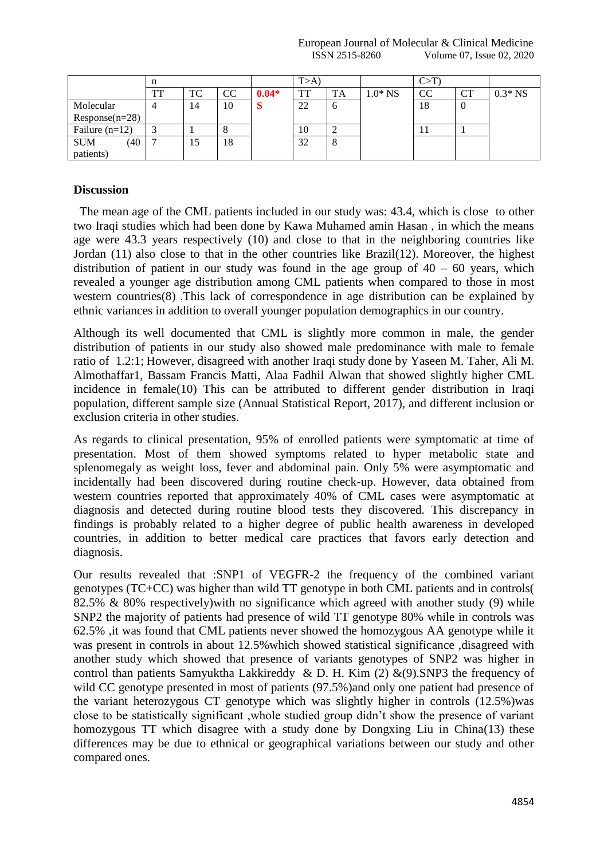European Journal of Molecular & Clinical Medicine ISSN 2515-8260 Volume 07, Issue 02, 2020

|                    |    |    |           | T>A     |    |             |           |           |    |           |
|--------------------|----|----|-----------|---------|----|-------------|-----------|-----------|----|-----------|
|                    | TT | TC | <b>CC</b> | $0.04*$ | TT | <b>TA</b>   | $1.0*$ NS | <b>CC</b> | CT | $0.3*$ NS |
| Molecular          |    | 14 | 10        | S       | 22 | $\mathbf 0$ |           | 18        | -0 |           |
| $Response(n=28)$   |    |    |           |         |    |             |           |           |    |           |
| Failure $(n=12)$   |    |    |           |         | 10 |             |           |           |    |           |
| <b>SUM</b><br>(40) | −  | 15 | 18        |         | 32 | 8           |           |           |    |           |
| patients)          |    |    |           |         |    |             |           |           |    |           |

## **Discussion**

 The mean age of the CML patients included in our study was: 43.4, which is close to other two Iraqi studies which had been done by Kawa Muhamed amin Hasan , in which the means age were 43.3 years respectively (10) and close to that in the neighboring countries like Jordan (11) also close to that in the other countries like Brazil(12). Moreover, the highest distribution of patient in our study was found in the age group of  $40 - 60$  years, which revealed a younger age distribution among CML patients when compared to those in most western countries(8) .This lack of correspondence in age distribution can be explained by ethnic variances in addition to overall younger population demographics in our country.

Although its well documented that CML is slightly more common in male, the gender distribution of patients in our study also showed male predominance with male to female ratio of 1.2:1; However, disagreed with another Iraqi study done by Yaseen M. Taher, Ali M. Almothaffar1, Bassam Francis Matti, Alaa Fadhil Alwan that showed slightly higher CML incidence in female(10) This can be attributed to different gender distribution in Iraqi population, different sample size (Annual Statistical Report, 2017), and different inclusion or exclusion criteria in other studies.

As regards to clinical presentation, 95% of enrolled patients were symptomatic at time of presentation. Most of them showed symptoms related to hyper metabolic state and splenomegaly as weight loss, fever and abdominal pain. Only 5% were asymptomatic and incidentally had been discovered during routine check-up. However, data obtained from western countries reported that approximately 40% of CML cases were asymptomatic at diagnosis and detected during routine blood tests they discovered. This discrepancy in findings is probably related to a higher degree of public health awareness in developed countries, in addition to better medical care practices that favors early detection and diagnosis.

Our results revealed that :SNP1 of VEGFR-2 the frequency of the combined variant genotypes (TC+CC) was higher than wild TT genotype in both CML patients and in controls( 82.5% & 80% respectively)with no significance which agreed with another study (9) while SNP2 the majority of patients had presence of wild TT genotype 80% while in controls was 62.5% ,it was found that CML patients never showed the homozygous AA genotype while it was present in controls in about 12.5%which showed statistical significance ,disagreed with another study which showed that presence of variants genotypes of SNP2 was higher in control than patients Samyuktha Lakkireddy & D. H. Kim  $(2)$  &(9).SNP3 the frequency of wild CC genotype presented in most of patients (97.5%) and only one patient had presence of the variant heterozygous CT genotype which was slightly higher in controls (12.5%)was close to be statistically significant ,whole studied group didn't show the presence of variant homozygous TT which disagree with a study done by Dongxing Liu in China(13) these differences may be due to ethnical or geographical variations between our study and other compared ones.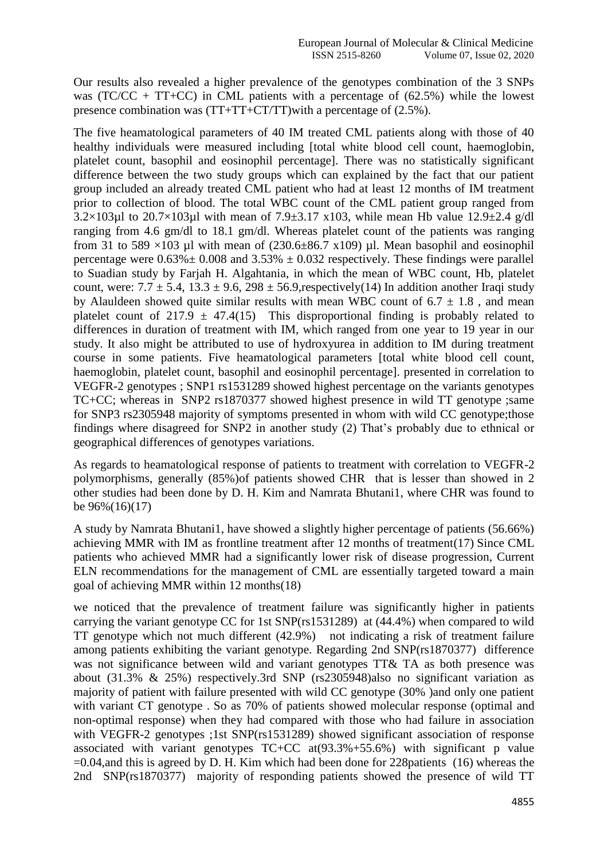Our results also revealed a higher prevalence of the genotypes combination of the 3 SNPs was (TC/CC + TT+CC) in CML patients with a percentage of  $(62.5%)$  while the lowest presence combination was (TT+TT+CT/TT)with a percentage of (2.5%).

The five heamatological parameters of 40 IM treated CML patients along with those of 40 healthy individuals were measured including [total white blood cell count, haemoglobin, platelet count, basophil and eosinophil percentage]. There was no statistically significant difference between the two study groups which can explained by the fact that our patient group included an already treated CML patient who had at least 12 months of IM treatment prior to collection of blood. The total WBC count of the CML patient group ranged from 3.2×103µl to 20.7×103µl with mean of 7.9 $\pm$ 3.17 x103, while mean Hb value 12.9 $\pm$ 2.4 g/dl ranging from 4.6 gm/dl to 18.1 gm/dl. Whereas platelet count of the patients was ranging from 31 to 589  $\times$ 103 µl with mean of (230.6 $\pm$ 86.7 x109) µl. Mean basophil and eosinophil percentage were  $0.63\% \pm 0.008$  and  $3.53\% \pm 0.032$  respectively. These findings were parallel to Suadian study by Farjah H. Algahtania, in which the mean of WBC count, Hb, platelet count, were:  $7.7 \pm 5.4$ ,  $13.3 \pm 9.6$ ,  $298 \pm 56.9$ , respectively(14) In addition another Iraqi study by Alauldeen showed quite similar results with mean WBC count of  $6.7 \pm 1.8$ , and mean platelet count of 217.9  $\pm$  47.4(15) This disproportional finding is probably related to differences in duration of treatment with IM, which ranged from one year to 19 year in our study. It also might be attributed to use of hydroxyurea in addition to IM during treatment course in some patients. Five heamatological parameters [total white blood cell count, haemoglobin, platelet count, basophil and eosinophil percentage]. presented in correlation to VEGFR-2 genotypes ; SNP1 rs1531289 showed highest percentage on the variants genotypes TC+CC; whereas in SNP2 rs1870377 showed highest presence in wild TT genotype ;same for SNP3 rs2305948 majority of symptoms presented in whom with wild CC genotype;those findings where disagreed for SNP2 in another study (2) That's probably due to ethnical or geographical differences of genotypes variations.

As regards to heamatological response of patients to treatment with correlation to VEGFR-2 polymorphisms, generally (85%)of patients showed CHR that is lesser than showed in 2 other studies had been done by D. H. Kim and Namrata Bhutani1, where CHR was found to be 96%(16)(17)

A study by Namrata Bhutani1, have showed a slightly higher percentage of patients (56.66%) achieving MMR with IM as frontline treatment after 12 months of treatment(17) Since CML patients who achieved MMR had a significantly lower risk of disease progression, Current ELN recommendations for the management of CML are essentially targeted toward a main goal of achieving MMR within 12 months(18)

we noticed that the prevalence of treatment failure was significantly higher in patients carrying the variant genotype CC for 1st SNP(rs1531289) at (44.4%) when compared to wild TT genotype which not much different (42.9%) not indicating a risk of treatment failure among patients exhibiting the variant genotype. Regarding 2nd SNP(rs1870377) difference was not significance between wild and variant genotypes TT& TA as both presence was about (31.3% & 25%) respectively.3rd SNP (rs2305948)also no significant variation as majority of patient with failure presented with wild CC genotype (30% )and only one patient with variant CT genotype . So as 70% of patients showed molecular response (optimal and non-optimal response) when they had compared with those who had failure in association with VEGFR-2 genotypes ;1st SNP(rs1531289) showed significant association of response associated with variant genotypes  $TC+CC$  at $(93.3\% + 55.6\%)$  with significant p value =0.04,and this is agreed by D. H. Kim which had been done for 228patients (16) whereas the 2nd SNP(rs1870377) majority of responding patients showed the presence of wild TT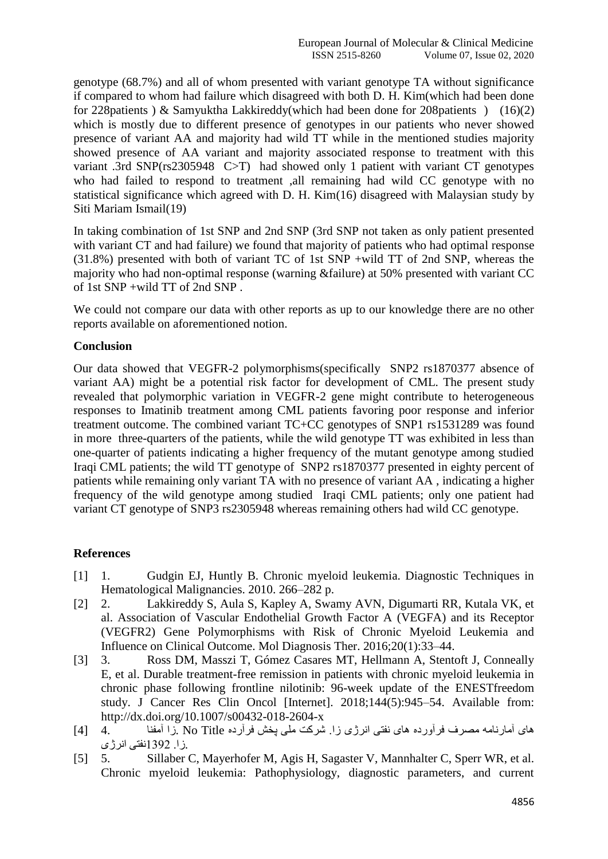genotype (68.7%) and all of whom presented with variant genotype TA without significance if compared to whom had failure which disagreed with both D. H. Kim(which had been done for 228patients ) & Samyuktha Lakkireddy(which had been done for 208patients ) (16)(2) which is mostly due to different presence of genotypes in our patients who never showed presence of variant AA and majority had wild TT while in the mentioned studies majority showed presence of AA variant and majority associated response to treatment with this variant .3rd SNP(rs2305948 C>T) had showed only 1 patient with variant CT genotypes who had failed to respond to treatment ,all remaining had wild CC genotype with no statistical significance which agreed with D. H. Kim(16) disagreed with Malaysian study by Siti Mariam Ismail(19)

In taking combination of 1st SNP and 2nd SNP (3rd SNP not taken as only patient presented with variant CT and had failure) we found that majority of patients who had optimal response (31.8%) presented with both of variant TC of 1st SNP +wild TT of 2nd SNP, whereas the majority who had non-optimal response (warning &failure) at 50% presented with variant CC of 1st SNP +wild TT of 2nd SNP .

We could not compare our data with other reports as up to our knowledge there are no other reports available on aforementioned notion.

## **Conclusion**

Our data showed that VEGFR-2 polymorphisms(specifically SNP2 rs1870377 absence of variant AA) might be a potential risk factor for development of CML. The present study revealed that polymorphic variation in VEGFR-2 gene might contribute to heterogeneous responses to Imatinib treatment among CML patients favoring poor response and inferior treatment outcome. The combined variant TC+CC genotypes of SNP1 rs1531289 was found in more three-quarters of the patients, while the wild genotype TT was exhibited in less than one-quarter of patients indicating a higher frequency of the mutant genotype among studied Iraqi CML patients; the wild TT genotype of SNP2 rs1870377 presented in eighty percent of patients while remaining only variant TA with no presence of variant AA , indicating a higher frequency of the wild genotype among studied Iraqi CML patients; only one patient had variant CT genotype of SNP3 rs2305948 whereas remaining others had wild CC genotype.

#### **References**

- [1] 1. Gudgin EJ, Huntly B. Chronic myeloid leukemia. Diagnostic Techniques in Hematological Malignancies. 2010. 266–282 p.
- [2] 2. Lakkireddy S, Aula S, Kapley A, Swamy AVN, Digumarti RR, Kutala VK, et al. Association of Vascular Endothelial Growth Factor A (VEGFA) and its Receptor (VEGFR2) Gene Polymorphisms with Risk of Chronic Myeloid Leukemia and Influence on Clinical Outcome. Mol Diagnosis Ther. 2016;20(1):33–44.
- [3] 3. Ross DM, Masszi T, Gómez Casares MT, Hellmann A, Stentoft J, Conneally E, et al. Durable treatment-free remission in patients with chronic myeloid leukemia in chronic phase following frontline nilotinib: 96-week update of the ENESTfreedom study. J Cancer Res Clin Oncol [Internet]. 2018;144(5):945–54. Available from: http://dx.doi.org/10.1007/s00432-018-2604-x
- های آمارنامه مصرف فرآورده های نفتی انرژی زا. شرکت ملی پخش فرآرده Title No .زا آمفنا 4. [4] .زا. 2931نفتی انرژی
- [5] 5. Sillaber C, Mayerhofer M, Agis H, Sagaster V, Mannhalter C, Sperr WR, et al. Chronic myeloid leukemia: Pathophysiology, diagnostic parameters, and current